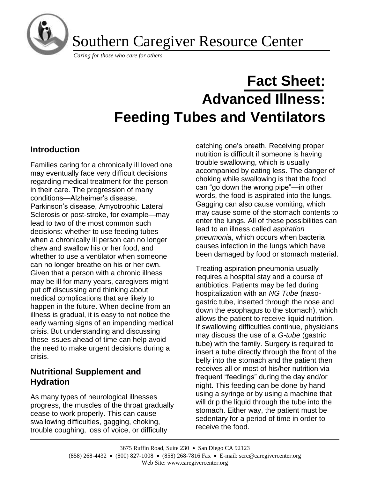

Southern Caregiver Resource Center

*Caring for those who care for others*

# **Fact Sheet: Advanced Illness: Feeding Tubes and Ventilators**

# **Introduction**

Families caring for a chronically ill loved one may eventually face very difficult decisions regarding medical treatment for the person in their care. The progression of many conditions—Alzheimer's disease, Parkinson's disease, Amyotrophic Lateral Sclerosis or post-stroke, for example—may lead to two of the most common such decisions: whether to use feeding tubes when a chronically ill person can no longer chew and swallow his or her food, and whether to use a ventilator when someone can no longer breathe on his or her own. Given that a person with a chronic illness may be ill for many years, caregivers might put off discussing and thinking about medical complications that are likely to happen in the future. When decline from an illness is gradual, it is easy to not notice the early warning signs of an impending medical crisis. But understanding and discussing these issues ahead of time can help avoid the need to make urgent decisions during a crisis.

# **Nutritional Supplement and Hydration**

As many types of neurological illnesses progress, the muscles of the throat gradually cease to work properly. This can cause swallowing difficulties, gagging, choking, trouble coughing, loss of voice, or difficulty

catching one's breath. Receiving proper nutrition is difficult if someone is having trouble swallowing, which is usually accompanied by eating less. The danger of choking while swallowing is that the food can "go down the wrong pipe"—in other words, the food is aspirated into the lungs. Gagging can also cause vomiting, which may cause some of the stomach contents to enter the lungs. All of these possibilities can lead to an illness called *aspiration pneumonia*, which occurs when bacteria causes infection in the lungs which have been damaged by food or stomach material.

Treating aspiration pneumonia usually requires a hospital stay and a course of antibiotics. Patients may be fed during hospitalization with an *NG Tube* (nasogastric tube, inserted through the nose and down the esophagus to the stomach), which allows the patient to receive liquid nutrition. If swallowing difficulties continue, physicians may discuss the use of a *G-tube* (gastric tube) with the family. Surgery is required to insert a tube directly through the front of the belly into the stomach and the patient then receives all or most of his/her nutrition via frequent "feedings" during the day and/or night. This feeding can be done by hand using a syringe or by using a machine that will drip the liquid through the tube into the stomach. Either way, the patient must be sedentary for a period of time in order to receive the food.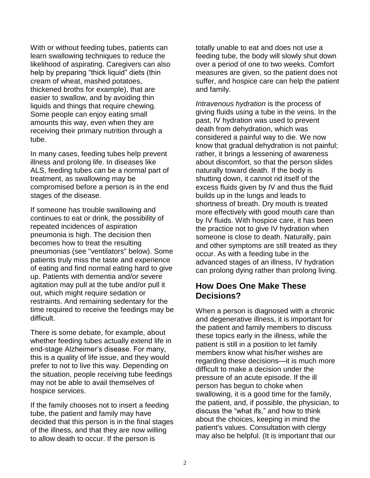With or without feeding tubes, patients can learn swallowing techniques to reduce the likelihood of aspirating. Caregivers can also help by preparing "thick liquid" diets (thin cream of wheat, mashed potatoes, thickened broths for example), that are easier to swallow, and by avoiding thin liquids and things that require chewing. Some people can enjoy eating small amounts this way, even when they are receiving their primary nutrition through a tube.

In many cases, feeding tubes help prevent illness and prolong life. In diseases like ALS, feeding tubes can be a normal part of treatment, as swallowing may be compromised before a person is in the end stages of the disease.

If someone has trouble swallowing and continues to eat or drink, the possibility of repeated incidences of aspiration pneumonia is high. The decision then becomes how to treat the resulting pneumonias (see "ventilators" below). Some patients truly miss the taste and experience of eating and find normal eating hard to give up. Patients with dementia and/or severe agitation may pull at the tube and/or pull it out, which might require sedation or restraints. And remaining sedentary for the time required to receive the feedings may be difficult.

There is some debate, for example, about whether feeding tubes actually extend life in end-stage Alzheimer's disease. For many, this is a quality of life issue, and they would prefer to not to live this way. Depending on the situation, people receiving tube feedings may not be able to avail themselves of hospice services.

If the family chooses not to insert a feeding tube, the patient and family may have decided that this person is in the final stages of the illness, and that they are now willing to allow death to occur. If the person is

totally unable to eat and does not use a feeding tube, the body will slowly shut down over a period of one to two weeks. Comfort measures are given, so the patient does not suffer, and hospice care can help the patient and family.

*Intravenous hydration* is the process of giving fluids using a tube in the veins. In the past, IV hydration was used to prevent death from dehydration, which was considered a painful way to die. We now know that gradual dehydration is not painful; rather, it brings a lessening of awareness about discomfort, so that the person slides naturally toward death. If the body is shutting down, it cannot rid itself of the excess fluids given by IV and thus the fluid builds up in the lungs and leads to shortness of breath. Dry mouth is treated more effectively with good mouth care than by IV fluids. With hospice care, it has been the practice not to give IV hydration when someone is close to death. Naturally, pain and other symptoms are still treated as they occur. As with a feeding tube in the advanced stages of an illness, IV hydration can prolong dying rather than prolong living.

## **How Does One Make These Decisions?**

When a person is diagnosed with a chronic and degenerative illness, it is important for the patient and family members to discuss these topics early in the illness, while the patient is still in a position to let family members know what his/her wishes are regarding these decisions—it is much more difficult to make a decision under the pressure of an acute episode. If the ill person has begun to choke when swallowing, it is a good time for the family, the patient, and, if possible, the physician, to discuss the "what ifs," and how to think about the choices, keeping in mind the patient's values. Consultation with clergy may also be helpful. (It is important that our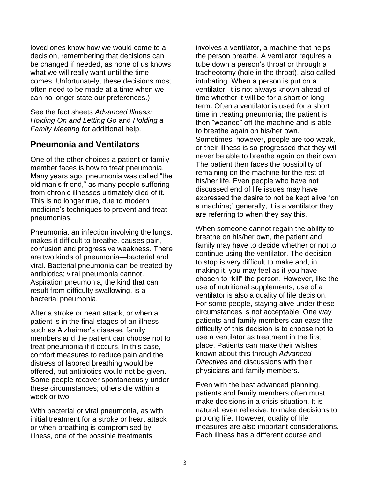loved ones know how we would come to a decision, remembering that decisions can be changed if needed, as none of us knows what we will really want until the time comes. Unfortunately, these decisions most often need to be made at a time when we can no longer state our preferences.)

See the fact sheets *Advanced Illness: [Holding On and Letting Go](http://www.caregiver.org/caregiver/jsp/content_node.jsp?nodeid=400)* and *[Holding a](http://www.caregiver.org/caregiver/jsp/content_node.jsp?nodeid=475)  [Family Meeting](http://www.caregiver.org/caregiver/jsp/content_node.jsp?nodeid=475) fo*r additional help.

# **Pneumonia and Ventilators**

One of the other choices a patient or family member faces is how to treat pneumonia. Many years ago, pneumonia was called "the old man's friend," as many people suffering from chronic illnesses ultimately died of it. This is no longer true, due to modern medicine's techniques to prevent and treat pneumonias.

Pneumonia, an infection involving the lungs, makes it difficult to breathe, causes pain, confusion and progressive weakness. There are two kinds of pneumonia—bacterial and viral. Bacterial pneumonia can be treated by antibiotics; viral pneumonia cannot. Aspiration pneumonia, the kind that can result from difficulty swallowing, is a bacterial pneumonia.

After a stroke or heart attack, or when a patient is in the final stages of an illness such as Alzheimer's disease, family members and the patient can choose not to treat pneumonia if it occurs. In this case, comfort measures to reduce pain and the distress of labored breathing would be offered, but antibiotics would not be given. Some people recover spontaneously under these circumstances; others die within a week or two.

With bacterial or viral pneumonia, as with initial treatment for a stroke or heart attack or when breathing is compromised by illness, one of the possible treatments

involves a ventilator, a machine that helps the person breathe. A ventilator requires a tube down a person's throat or through a tracheotomy (hole in the throat), also called intubating. When a person is put on a ventilator, it is not always known ahead of time whether it will be for a short or long term. Often a ventilator is used for a short time in treating pneumonia; the patient is then "weaned" off the machine and is able to breathe again on his/her own. Sometimes, however, people are too weak, or their illness is so progressed that they will never be able to breathe again on their own. The patient then faces the possibility of remaining on the machine for the rest of his/her life. Even people who have not discussed end of life issues may have expressed the desire to not be kept alive "on a machine;" generally, it is a ventilator they are referring to when they say this.

When someone cannot regain the ability to breathe on his/her own, the patient and family may have to decide whether or not to continue using the ventilator. The decision to stop is very difficult to make and, in making it, you may feel as if you have chosen to "kill" the person. However, like the use of nutritional supplements, use of a ventilator is also a quality of life decision. For some people, staying alive under these circumstances is not acceptable. One way patients and family members can ease the difficulty of this decision is to choose not to use a ventilator as treatment in the first place. Patients can make their wishes known about this through *Advanced Directives* and discussions with their physicians and family members.

Even with the best advanced planning, patients and family members often must make decisions in a crisis situation. It is natural, even reflexive, to make decisions to prolong life. However, quality of life measures are also important considerations. Each illness has a different course and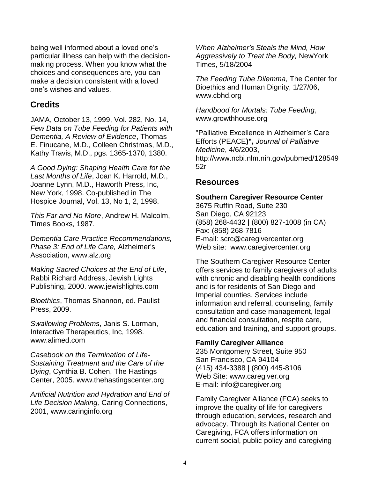being well informed about a loved one's particular illness can help with the decisionmaking process. When you know what the choices and consequences are, you can make a decision consistent with a loved one's wishes and values.

### **Credits**

JAMA, October 13, 1999, Vol. 282, No. 14, *Few Data on Tube Feeding for Patients with Dementia, A Review of Evidence*, Thomas E. Finucane, M.D., Colleen Christmas, M.D., Kathy Travis, M.D., pgs. 1365-1370, 1380.

*A Good Dying: Shaping Health Care for the Last Months of Life*, Joan K. Harrold, M.D., Joanne Lynn, M.D., Haworth Press, Inc, New York, 1998. Co-published in The Hospice Journal, Vol. 13, No 1, 2, 1998.

*This Far and No More*, Andrew H. Malcolm, Times Books, 1987.

*Dementia Care Practice Recommendations, Phase 3: End of Life Care,* Alzheimer's Association, [www.alz.org](http://www.alz.org/)

*Making Sacred Choices at the End of Life*, Rabbi Richard Address, Jewish Lights Publishing, 2000. [www.jewishlights.com](http://www.jewishlights.com/)

*Bioethics*, Thomas Shannon, ed. Paulist Press, 2009.

*Swallowing Problems*, Janis S. Lorman, Interactive Therapeutics, Inc, 1998. [www.alimed.com](http://www.alimed.com/)

*Casebook on the Termination of Life-Sustaining Treatment and the Care of the Dying*, Cynthia B. Cohen, The Hastings Center, 2005. [www.thehastingscenter.org](http://www.thehastingscenter.org/)

*Artificial Nutrition and Hydration and End of Life Decision Making,* Caring Connections, 2001, [www.caringinfo.org](http://www.caringinfo.org/)

*When Alzheimer's Steals the Mind, How Aggressively to Treat the Body,* NewYork Times, 5/18/2004

*The Feeding Tube Dilemma,* The Center for Bioethics and Human Dignity, 1/27/06, [www.cbhd.org](http://www.cbhd.org/)

*Handbood for Mortals: Tube Feeding*, www.growthhouse.org

"Palliative Excellence in Alzheimer's Care Efforts (PEACE**)",** *Journal of Palliative Medicine*, 4/6/2003, [http://www.ncbi.nlm.nih.gov/pubmed/128549](http://www.ncbi.nlm.nih.gov/pubmed/12854952r) [52r](http://www.ncbi.nlm.nih.gov/pubmed/12854952r)

## **Resources**

#### **Southern Caregiver Resource Center**

3675 Ruffin Road, Suite 230 San Diego, CA 92123 (858) 268-4432 | (800) 827-1008 (in CA) Fax: (858) 268-7816 E-mail: [scrc@caregivercenter.org](mailto:scrc@caregivercenter.org) Web site: www.caregivercenter.org

The Southern Caregiver Resource Center offers services to family caregivers of adults with chronic and disabling health conditions and is for residents of San Diego and Imperial counties. Services include information and referral, counseling, family consultation and case management, legal and financial consultation, respite care, education and training, and support groups.

#### **Family Caregiver Alliance**

235 Montgomery Street, Suite 950 San Francisco, CA 94104 (415) 434-3388 | (800) 445-8106 Web Site: [www.caregiver.org](http://www.caregiver.org/) E-mail: [info@caregiver.org](mailto:info@caregiver.org)

Family Caregiver Alliance (FCA) seeks to improve the quality of life for caregivers through education, services, research and advocacy. Through its National Center on Caregiving, FCA offers information on current social, public policy and caregiving